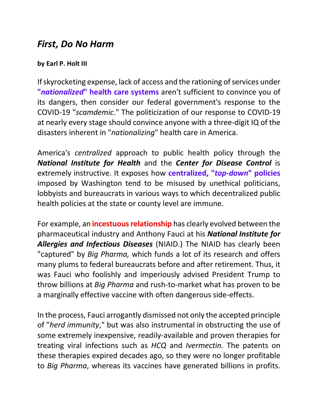## *First, Do No Harm*

## **by Earl P. Holt III**

If skyrocketing expense, lack of access and the rationing of services under **"***nationalized***" health care systems** aren't sufficient to convince you of its dangers, then consider our federal government's response to the COVID-19 "*scamdemic*." The politicization of our response to COVID-19 at nearly every stage should convince anyone with a three-digit IQ of the disasters inherent in "*nationalizing*" health care in America.

America's *centralized* approach to public health policy through the *National Institute for Health* and the *Center for Disease Control* is extremely instructive. It exposes how **centralized, "***top-down***" policies** imposed by Washington tend to be misused by unethical politicians, lobbyists and bureaucrats in various ways to which decentralized public health policies at the state or county level are immune.

For example, an **incestuous relationship** has clearly evolved between the pharmaceutical industry and Anthony Fauci at his *National Institute for Allergies and Infectious Diseases* (NIAID.) The NIAID has clearly been "captured" by *Big Pharma,* which funds a lot of its research and offers many plums to federal bureaucrats before and after retirement. Thus, it was Fauci who foolishly and imperiously advised President Trump to throw billions at *Big Pharma* and rush-to-market what has proven to be a marginally effective vaccine with often dangerous side-effects.

In the process, Fauci arrogantly dismissed not only the accepted principle of "*herd immunity*," but was also instrumental in obstructing the use of some extremely inexpensive, readily-available and proven therapies for treating viral infections such as *HCQ* and *Ivermectin.* The patents on these therapies expired decades ago, so they were no longer profitable to *Big Pharma*, whereas its vaccines have generated billions in profits.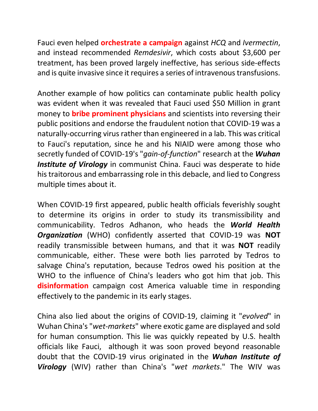Fauci even helped **orchestrate a campaign** against *HCQ* and *Ivermectin*, and instead recommended *Remdesivir*, which costs about \$3,600 per treatment, has been proved largely ineffective, has serious side-effects and is quite invasive since it requires a series of intravenous transfusions.

Another example of how politics can contaminate public health policy was evident when it was revealed that Fauci used \$50 Million in grant money to **bribe prominent physicians** and scientists into reversing their public positions and endorse the fraudulent notion that COVID-19 was a naturally-occurring virus rather than engineered in a lab. This was critical to Fauci's reputation, since he and his NIAID were among those who secretly funded of COVID-19's "*gain-of-function*" research at the *Wuhan*  **Institute of Virology** in communist China. Fauci was desperate to hide his traitorous and embarrassing role in this debacle, and lied to Congress multiple times about it.

When COVID-19 first appeared, public health officials feverishly sought to determine its origins in order to study its transmissibility and communicability. Tedros Adhanon, who heads the *World Health Organization* (WHO) confidently asserted that COVID-19 was **NOT** readily transmissible between humans, and that it was **NOT** readily communicable, either. These were both lies parroted by Tedros to salvage China's reputation, because Tedros owed his position at the WHO to the influence of China's leaders who got him that job. This **disinformation** campaign cost America valuable time in responding effectively to the pandemic in its early stages.

China also lied about the origins of COVID-19, claiming it "*evolved*" in Wuhan China's "*wet-markets*" where exotic game are displayed and sold for human consumption. This lie was quickly repeated by U.S. health officials like Fauci, although it was soon proved beyond reasonable doubt that the COVID-19 virus originated in the *Wuhan Institute of Virology* (WIV) rather than China's "*wet markets*." The WIV was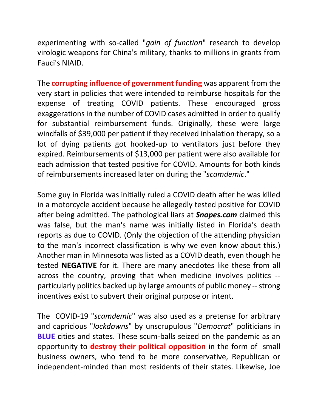experimenting with so-called "*gain of function*" research to develop virologic weapons for China's military, thanks to millions in grants from Fauci's NIAID.

The **corrupting influence of government funding** was apparent from the very start in policies that were intended to reimburse hospitals for the expense of treating COVID patients. These encouraged gross exaggerations in the number of COVID cases admitted in order to qualify for substantial reimbursement funds. Originally, these were large windfalls of \$39,000 per patient if they received inhalation therapy, so a lot of dying patients got hooked-up to ventilators just before they expired. Reimbursements of \$13,000 per patient were also available for each admission that tested positive for COVID. Amounts for both kinds of reimbursements increased later on during the "*scamdemic*."

Some guy in Florida was initially ruled a COVID death after he was killed in a motorcycle accident because he allegedly tested positive for COVID after being admitted. The pathological liars at *Snopes.com* claimed this was false, but the man's name was initially listed in Florida's death reports as due to COVID. (Only the objection of the attending physician to the man's incorrect classification is why we even know about this.) Another man in Minnesota was listed as a COVID death, even though he tested **NEGATIVE** for it. There are many anecdotes like these from all across the country, proving that when medicine involves politics - particularly politics backed up by large amounts of public money --strong incentives exist to subvert their original purpose or intent.

The COVID-19 "*scamdemic*" was also used as a pretense for arbitrary and capricious "*lockdowns*" by unscrupulous "*Democrat*" politicians in **BLUE** cities and states. These scum-balls seized on the pandemic as an opportunity to **destroy their political opposition** in the form of small business owners, who tend to be more conservative, Republican or independent-minded than most residents of their states. Likewise, Joe